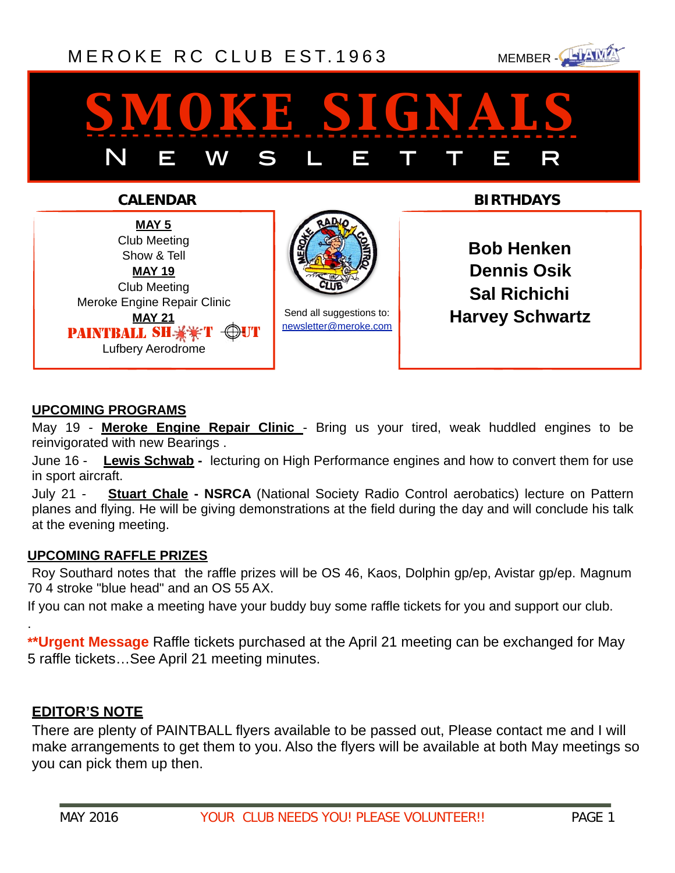### [MEROKE RC CLUB](http://www.meroke.com) EST. 1963 MEMBER-



# *smoke signals* N E W S L E T T E R

**CALENDAR BIRTHDAYS**

**MAY 5** Club Meeting Show & Tell **MAY 19** Club Meeting Meroke Engine Repair Clinic **MAY 21**  Lufbery Aerodrome PAINTBALL SH $\frac{12}{3}$   $\frac{12}{3}$  T



Send all suggestions to: [newsletter@meroke.com](mailto:newsletter@meroke.com)

**Bob Henken Dennis Osik Sal Richichi Harvey Schwartz**

#### **UPCOMING PROGRAMS**

May 19 - **Meroke Engine Repair Clinic** - Bring us your tired, weak huddled engines to be reinvigorated with new Bearings .

June 16 - **Lewis Schwab -** lecturing on High Performance engines and how to convert them for use in sport aircraft.

July 21 - **Stuart Chale - NSRCA** (National Society Radio Control aerobatics) lecture on Pattern planes and flying. He will be giving demonstrations at the field during the day and will conclude his talk at the evening meeting.

#### **UPCOMING RAFFLE PRIZES**

 Roy Southard notes that the raffle prizes will be OS 46, Kaos, Dolphin gp/ep, Avistar gp/ep. Magnum 70 4 stroke "blue head" and an OS 55 AX.

If you can not make a meeting have your buddy buy some raffle tickets for you and support our club.

**\*\*Urgent Message** Raffle tickets purchased at the April 21 meeting can be exchanged for May 5 raffle tickets…See April 21 meeting minutes.

#### **EDITOR'S NOTE**

.

There are plenty of PAINTBALL flyers available to be passed out, Please contact me and I will make arrangements to get them to you. Also the flyers will be available at both May meetings so you can pick them up then.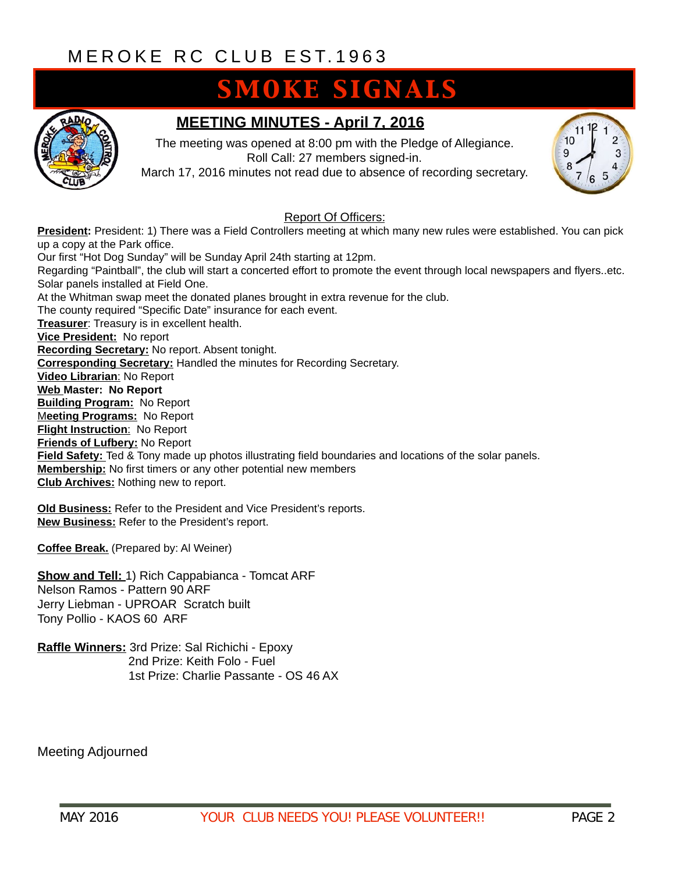### **SMOKE SIGNALS**



#### **MEETING MINUTES - April 7, 2016**

The meeting was opened at 8:00 pm with the Pledge of Allegiance. Roll Call: 27 members signed-in.

March 17, 2016 minutes not read due to absence of recording secretary.



#### Report Of Officers:

**President:** President: 1) There was a Field Controllers meeting at which many new rules were established. You can pick up a copy at the Park office. Our first "Hot Dog Sunday" will be Sunday April 24th starting at 12pm. Regarding "Paintball", the club will start a concerted effort to promote the event through local newspapers and flyers..etc. Solar panels installed at Field One. At the Whitman swap meet the donated planes brought in extra revenue for the club. The county required "Specific Date" insurance for each event. **Treasurer**: Treasury is in excellent health. **Vice President:** No report **Recording Secretary:** No report. Absent tonight. **Corresponding Secretary:** Handled the minutes for Recording Secretary. **Video Librarian**: No Report **Web Master: No Report Building Program:** No Report M**eeting Programs:** No Report **Flight Instruction**: No Report **Friends of Lufbery:** No Report **Field Safety:** Ted & Tony made up photos illustrating field boundaries and locations of the solar panels. **Membership:** No first timers or any other potential new members **Club Archives:** Nothing new to report.

**Old Business:** Refer to the President and Vice President's reports. **New Business:** Refer to the President's report.

**Coffee Break.** (Prepared by: Al Weiner)

**Show and Tell:** 1) Rich Cappabianca - Tomcat ARF Nelson Ramos - Pattern 90 ARF Jerry Liebman - UPROAR Scratch built Tony Pollio - KAOS 60 ARF

**Raffle Winners:** 3rd Prize: Sal Richichi - Epoxy 2nd Prize: Keith Folo - Fuel 1st Prize: Charlie Passante - OS 46 AX

Meeting Adjourned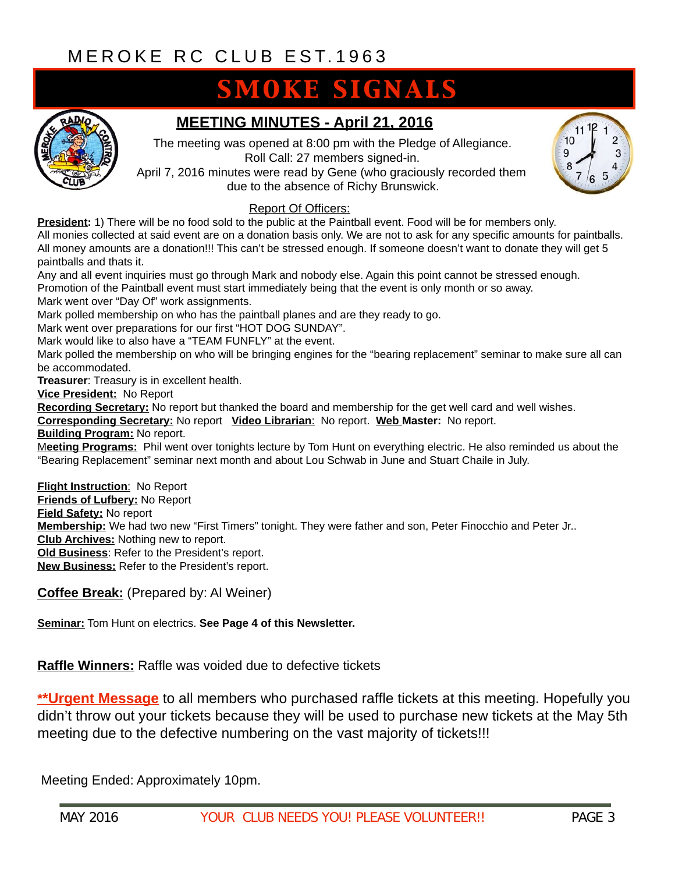## **SMOKE SIGNALS**



### **MEETING MINUTES - April 21, 2016**

The meeting was opened at 8:00 pm with the Pledge of Allegiance. Roll Call: 27 members signed-in.

April 7, 2016 minutes were read by Gene (who graciously recorded them due to the absence of Richy Brunswick.



#### Report Of Officers:

**President:** 1) There will be no food sold to the public at the Paintball event. Food will be for members only. All monies collected at said event are on a donation basis only. We are not to ask for any specific amounts for paintballs. All money amounts are a donation!!! This can't be stressed enough. If someone doesn't want to donate they will get 5 paintballs and thats it.

Any and all event inquiries must go through Mark and nobody else. Again this point cannot be stressed enough.

Promotion of the Paintball event must start immediately being that the event is only month or so away.

Mark went over "Day Of" work assignments.

Mark polled membership on who has the paintball planes and are they ready to go.

Mark went over preparations for our first "HOT DOG SUNDAY".

Mark would like to also have a "TEAM FUNFLY" at the event.

Mark polled the membership on who will be bringing engines for the "bearing replacement" seminar to make sure all can be accommodated.

**Treasurer**: Treasury is in excellent health.

**Vice President:** No Report

**Recording Secretary:** No report but thanked the board and membership for the get well card and well wishes.

**Corresponding Secretary:** No report **Video Librarian**: No report. **Web Master:** No report.

**Building Program:** No report.

M**eeting Programs:** Phil went over tonights lecture by Tom Hunt on everything electric. He also reminded us about the "Bearing Replacement" seminar next month and about Lou Schwab in June and Stuart Chaile in July.

**Flight Instruction**: No Report **Friends of Lufbery:** No Report **Field Safety:** No report **Membership:** We had two new "First Timers" tonight. They were father and son, Peter Finocchio and Peter Jr.. **Club Archives:** Nothing new to report. **Old Business**: Refer to the President's report. **New Business:** Refer to the President's report.

**Coffee Break:** (Prepared by: Al Weiner)

**Seminar:** Tom Hunt on electrics. **See Page 4 of this Newsletter.**

**Raffle Winners:** Raffle was voided due to defective tickets

**\*\*Urgent Message** to all members who purchased raffle tickets at this meeting. Hopefully you didn't throw out your tickets because they will be used to purchase new tickets at the May 5th meeting due to the defective numbering on the vast majority of tickets!!!

Meeting Ended: Approximately 10pm.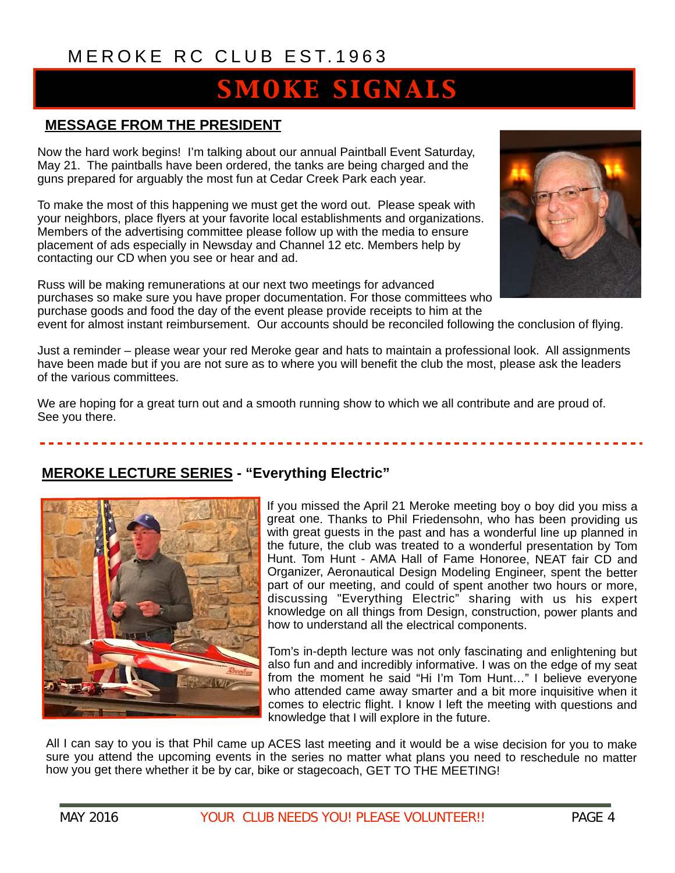## **SMOKE SIGNALS**

#### **MESSAGE FROM THE PRESIDENT**

Now the hard work begins! I'm talking about our annual Paintball Event Saturday, May 21. The paintballs have been ordered, the tanks are being charged and the guns prepared for arguably the most fun at Cedar Creek Park each year.

To make the most of this happening we must get the word out. Please speak with your neighbors, place flyers at your favorite local establishments and organizations. Members of the advertising committee please follow up with the media to ensure placement of ads especially in Newsday and Channel 12 etc. Members help by contacting our CD when you see or hear and ad.

Russ will be making remunerations at our next two meetings for advanced purchases so make sure you have proper documentation. For those committees who purchase goods and food the day of the event please provide receipts to him at the



event for almost instant reimbursement. Our accounts should be reconciled following the conclusion of flying.

Just a reminder – please wear your red Meroke gear and hats to maintain a professional look. All assignments have been made but if you are not sure as to where you will benefit the club the most, please ask the leaders of the various committees.

We are hoping for a great turn out and a smooth running show to which we all contribute and are proud of. See you there.

#### **MEROKE LECTURE SERIES - "Everything Electric"**



If you missed the April 21 Meroke meeting boy o boy did you miss a great one. Thanks to Phil Friedensohn, who has been providing us with great guests in the past and has a wonderful line up planned in the future, the club was treated to a wonderful presentation by Tom Hunt. Tom Hunt - AMA Hall of Fame Honoree, NEAT fair CD and Organizer, Aeronautical Design Modeling Engineer, spent the better part of our meeting, and could of spent another two hours or more, discussing "Everything Electric" sharing with us his expert knowledge on all things from Design, construction, power plants and how to understand all the electrical components.

Tom's in-depth lecture was not only fascinating and enlightening but also fun and and incredibly informative. I was on the edge of my seat from the moment he said "Hi I'm Tom Hunt…" I believe everyone who attended came away smarter and a bit more inquisitive when it comes to electric flight. I know I left the meeting with questions and knowledge that I will explore in the future.

All I can say to you is that Phil came up ACES last meeting and it would be a wise decision for you to make sure you attend the upcoming events in the series no matter what plans you need to reschedule no matter how you get there whether it be by car, bike or stagecoach, GET TO THE MEETING!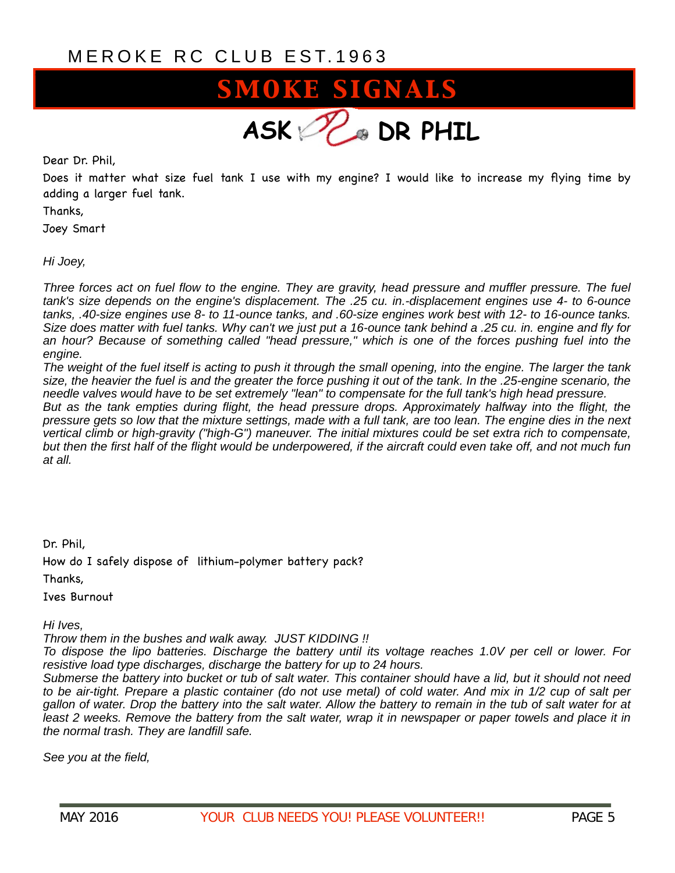

Dear Dr. Phil,

Does it matter what size fuel tank I use with my engine? I would like to increase my flying time by adding a larger fuel tank.

Thanks,

Joey Smart

*Hi Joey,* 

*Three forces act on fuel flow to the engine. They are gravity, head pressure and muffler pressure. The fuel tank's size depends on the engine's displacement. The .25 cu. in.-displacement engines use 4- to 6-ounce tanks, .40-size engines use 8- to 11-ounce tanks, and .60-size engines work best with 12- to 16-ounce tanks. Size does matter with fuel tanks. Why can't we just put a 16-ounce tank behind a .25 cu. in. engine and fly for an hour? Because of something called "head pressure," which is one of the forces pushing fuel into the engine.*

*The weight of the fuel itself is acting to push it through the small opening, into the engine. The larger the tank size, the heavier the fuel is and the greater the force pushing it out of the tank. In the .25-engine scenario, the needle valves would have to be set extremely "lean" to compensate for the full tank's high head pressure.* 

*But as the tank empties during flight, the head pressure drops. Approximately halfway into the flight, the pressure gets so low that the mixture settings, made with a full tank, are too lean. The engine dies in the next vertical climb or high-gravity ("high-G") maneuver. The initial mixtures could be set extra rich to compensate,*  but then the first half of the flight would be underpowered, if the aircraft could even take off, and not much fun *at all.* 

Dr. Phil,

How do I safely dispose of lithium-polymer battery pack?

Thanks,

Ives Burnout

*Hi Ives,* 

*Throw them in the bushes and walk away. JUST KIDDING !!* 

*To dispose the lipo batteries. Discharge the battery until its voltage reaches 1.0V per cell or lower. For resistive load type discharges, discharge the battery for up to 24 hours.* 

*Submerse the battery into bucket or tub of salt water. This container should have a lid, but it should not need to be air-tight. Prepare a plastic container (do not use metal) of cold water. And mix in 1/2 cup of salt per gallon of water. Drop the battery into the salt water. Allow the battery to remain in the tub of salt water for at least 2 weeks. Remove the battery from the salt water, wrap it in newspaper or paper towels and place it in the normal trash. They are landfill safe.* 

*See you at the field,*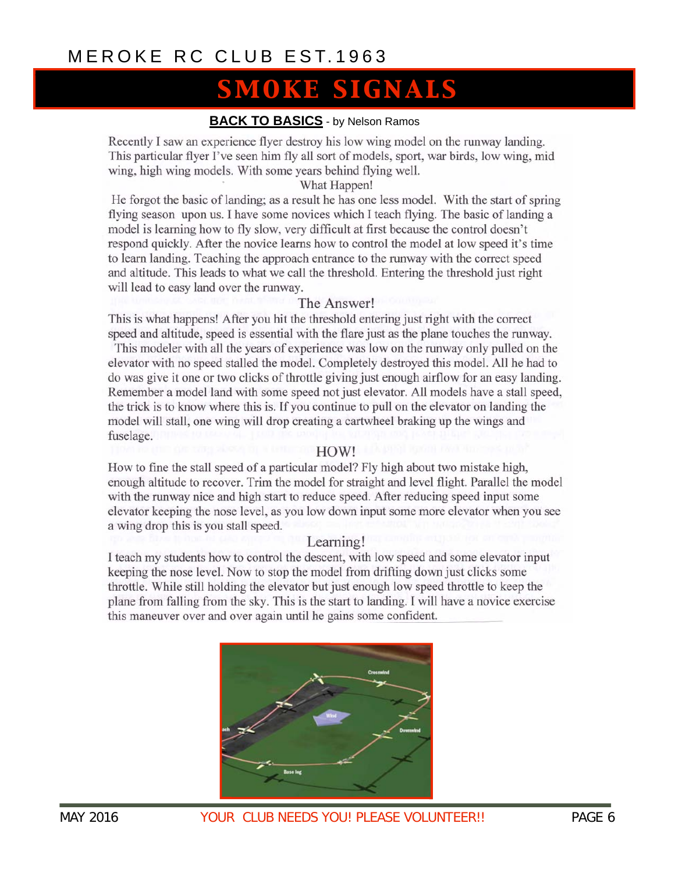### **SMOKE SIGNALS**

#### **BACK TO BASICS** - by Nelson Ramos

Recently I saw an experience flyer destroy his low wing model on the runway landing. This particular flyer I've seen him fly all sort of models, sport, war birds, low wing, mid wing, high wing models. With some years behind flying well.

#### What Happen!

He forgot the basic of landing; as a result he has one less model. With the start of spring flying season upon us. I have some novices which I teach flying. The basic of landing a model is learning how to fly slow, very difficult at first because the control doesn't respond quickly. After the novice learns how to control the model at low speed it's time to learn landing. Teaching the approach entrance to the runway with the correct speed and altitude. This leads to what we call the threshold. Entering the threshold just right will lead to easy land over the runway.

#### The Answer!

This is what happens! After you hit the threshold entering just right with the correct speed and altitude, speed is essential with the flare just as the plane touches the runway.

This modeler with all the years of experience was low on the runway only pulled on the elevator with no speed stalled the model. Completely destroyed this model. All he had to do was give it one or two clicks of throttle giving just enough airflow for an easy landing. Remember a model land with some speed not just elevator. All models have a stall speed, the trick is to know where this is. If you continue to pull on the elevator on landing the model will stall, one wing will drop creating a cartwheel braking up the wings and fuselage.

#### HOW!

How to fine the stall speed of a particular model? Fly high about two mistake high, enough altitude to recover. Trim the model for straight and level flight. Parallel the model with the runway nice and high start to reduce speed. After reducing speed input some elevator keeping the nose level, as you low down input some more elevator when you see a wing drop this is you stall speed.

#### Learning!

I teach my students how to control the descent, with low speed and some elevator input keeping the nose level. Now to stop the model from drifting down just clicks some throttle. While still holding the elevator but just enough low speed throttle to keep the plane from falling from the sky. This is the start to landing. I will have a novice exercise this maneuver over and over again until he gains some confident.

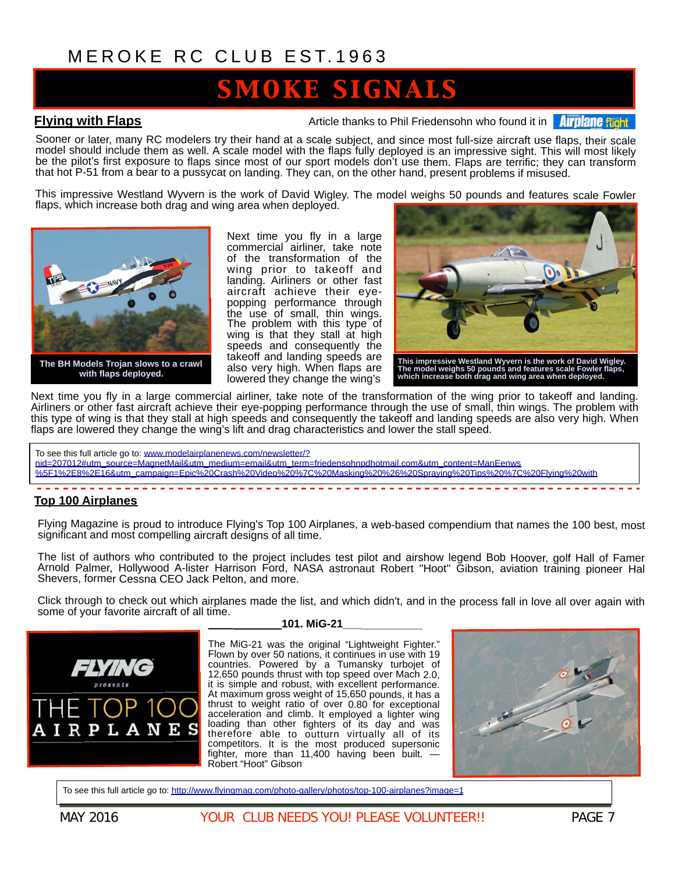### OKE SIGNALS

**Flying with Flaps Article thanks to Phil Friedensohn who found it in AITD ATT** 

Sooner or later, many RC modelers try their hand at a scale subject, and since most full-size aircraft use flaps, their scale model should include them as well. A scale model with the flaps fully deployed is an impressive sight. This will most likely be the pilot's first exposure to flaps since most of our sport models don't use them. Flaps are terrific; they can transform that hot P-51 from a bear to a pussycat on landing. They can, on the other hand, present problems if misused.

This impressive Westland Wyvern is the work of David Wigley. The model weighs 50 pounds and features scale Fowler flaps, which increase both drag and wing area when deployed.



**with flaps deployed.**

Next time you fly in a large commercial airliner, take note of the transformation of the wing prior to takeoff and landing. Airliners or other fast aircraft achieve their eyepopping performance through the use of small, thin wings. The problem with this type of wing is that they stall at high speeds and consequently the takeoff and landing speeds are also very high. When flaps are lowered they change the wing's



**This impressive Westland Wyvern is the work of David Wigley. The model weighs 50 pounds and features scale Fowler flaps, which increase both drag and wing area when deployed.**

Next time you fly in a large commercial airliner, take note of the transformation of the wing prior to takeoff and landing. Airliners or other fast aircraft achieve their eye-popping performance through the use of small, thin wings. The problem with this type of wing is that they stall at high speeds and consequently the takeoff and landing speeds are also very high. When flaps are lowered they change the wing's lift and drag characteristics and lower the stall speed.

To see this full article go to: www.modelairplanenews.com/newsletter/?

nid=207012#utm\_source=MagnetMail&utm\_medium=email&utm\_term=friedensohnpdhotmail.com&utm\_content=ManEenws [%5F1%2E8%2E16&utm\\_campaign=Epic%20Crash%20Video%20%7C%20Masking%20%26%20Spraying%20Tips%20%7C%20Flying%20with](http://www.modelairplanenews.com/newsletter/?nid=207012#utm_source=MagnetMail&utm_medium=email&utm_term=friedensohnpdhotmail.com&utm_content=ManEenws%5F1%2E8%2E16&utm_campaign=Epic%20Crash%20Video%20%7C%20Masking%20%26%20Spraying%20Tips%20%7C%20Flying%20with%20Flaps%20)

#### 

#### **Top 100 Airplanes**

Flying Magazine is proud to introduce Flying's Top 100 Airplanes, a web-based compendium that names the 100 best, most significant and most compelling aircraft designs of all time.

The list of authors who contributed to the project includes test pilot and airshow legend Bob Hoover, golf Hall of Famer Arnold Palmer, Hollywood A-lister Harrison Ford, NASA astronaut Robert "Hoot" Gibson, aviation training pioneer Hal Shevers, former Cessna CEO Jack Pelton, and more.

Click through to check out which airplanes made the list, and which didn't, and in the process fall in love all over again with some of your favorite aircraft of all time.



#### **101. MiG-21\_\_\_\_\_\_\_\_\_\_\_\_\_**

The MiG-21 was the original "Lightweight Fighter." Flown by over 50 nations, it continues in use with 19 countries. Powered by a Tumansky turbojet of 12,650 pounds thrust with top speed over Mach 2.0, it is simple and robust, with excellent performance. At maximum gross weight of 15,650 pounds, it has a thrust to weight ratio of over 0.80 for exceptional acceleration and climb. It employed a lighter wing loading than other fighters of its day and was therefore able to outturn virtually all of its competitors. It is the most produced supersonic fighter, more than 11,400 having been built. — Robert "Hoot" Gibson



To see this full article go to:<http://www.flyingmag.com/photo-gallery/photos/top-100-airplanes?image=1>